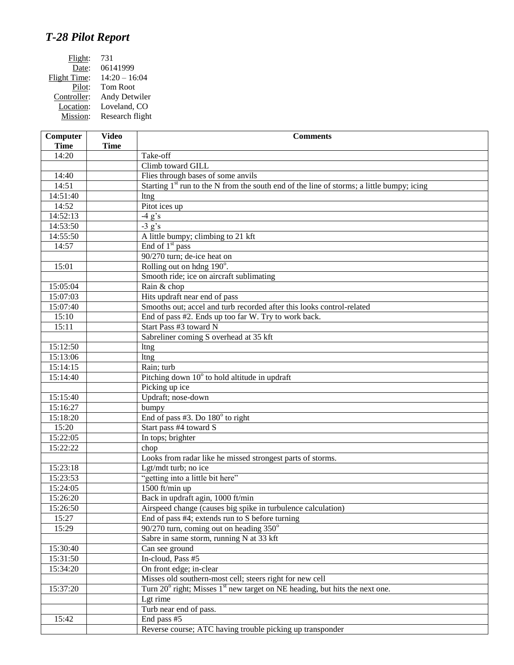## *T-28 Pilot Report*

| Flight:      | 731             |
|--------------|-----------------|
| Date:        | 06141999        |
| Flight Time: | $14:20 - 16:04$ |
| Pilot:       | <b>Tom Root</b> |
| Controller:  | Andy Detwiler   |
| Location:    | Loveland, CO    |
| Mission:     | Research flight |

| Computer    | <b>Video</b> | <b>Comments</b>                                                                                       |
|-------------|--------------|-------------------------------------------------------------------------------------------------------|
| <b>Time</b> | <b>Time</b>  |                                                                                                       |
| 14:20       |              | Take-off                                                                                              |
|             |              | Climb toward GILL                                                                                     |
| 14:40       |              | Flies through bases of some anvils                                                                    |
| 14:51       |              | Starting 1 <sup>st</sup> run to the N from the south end of the line of storms; a little bumpy; icing |
| 14:51:40    |              | ltng                                                                                                  |
| 14:52       |              | Pitot ices up                                                                                         |
| 14:52:13    |              | $-4 g's$                                                                                              |
| 14:53:50    |              | $-3 g's$                                                                                              |
| 14:55:50    |              | A little bumpy; climbing to 21 kft                                                                    |
| 14:57       |              | End of $1st$ pass                                                                                     |
|             |              | 90/270 turn; de-ice heat on                                                                           |
| 15:01       |              | Rolling out on hdng 190°.                                                                             |
|             |              | Smooth ride; ice on aircraft sublimating                                                              |
| 15:05:04    |              | Rain & chop                                                                                           |
| 15:07:03    |              | Hits updraft near end of pass                                                                         |
| 15:07:40    |              | Smooths out; accel and turb recorded after this looks control-related                                 |
| 15:10       |              | End of pass #2. Ends up too far W. Try to work back.                                                  |
| 15:11       |              | Start Pass #3 toward N                                                                                |
|             |              | Sabreliner coming S overhead at 35 kft                                                                |
| 15:12:50    |              | ltng                                                                                                  |
| 15:13:06    |              | ltng                                                                                                  |
| 15:14:15    |              | Rain; turb                                                                                            |
| 15:14:40    |              | Pitching down $10^{\circ}$ to hold altitude in updraft                                                |
|             |              | Picking up ice                                                                                        |
| 15:15:40    |              | Updraft; nose-down                                                                                    |
| 15:16:27    |              | bumpy                                                                                                 |
| 15:18:20    |              | End of pass $#3$ . Do $180^\circ$ to right                                                            |
| 15:20       |              | Start pass #4 toward S                                                                                |
| 15:22:05    |              | In tops; brighter                                                                                     |
| 15:22:22    |              | chop                                                                                                  |
|             |              | Looks from radar like he missed strongest parts of storms.                                            |
| 15:23:18    |              | Lgt/mdt turb; no ice                                                                                  |
| 15:23:53    |              | "getting into a little bit here"                                                                      |
| 15:24:05    |              | 1500 ft/min up                                                                                        |
| 15:26:20    |              | Back in updraft agin, 1000 ft/min                                                                     |
| 15:26:50    |              | Airspeed change (causes big spike in turbulence calculation)                                          |
| 15:27       |              | End of pass #4; extends run to S before turning                                                       |
| 15:29       |              | $90/270$ turn, coming out on heading $350^\circ$                                                      |
|             |              | Sabre in same storm, running N at 33 kft                                                              |
| 15:30:40    |              | Can see ground                                                                                        |
| 15:31:50    |              | In-cloud, Pass #5                                                                                     |
| 15:34:20    |              | On front edge; in-clear                                                                               |
|             |              | Misses old southern-most cell; steers right for new cell                                              |
| 15:37:20    |              | Turn $20^{\circ}$ right; Misses $1^{\text{st}}$ new target on NE heading, but hits the next one.      |
|             |              | Lgt rime                                                                                              |
|             |              | Turb near end of pass.                                                                                |
| 15:42       |              | End pass #5                                                                                           |
|             |              | Reverse course; ATC having trouble picking up transponder                                             |